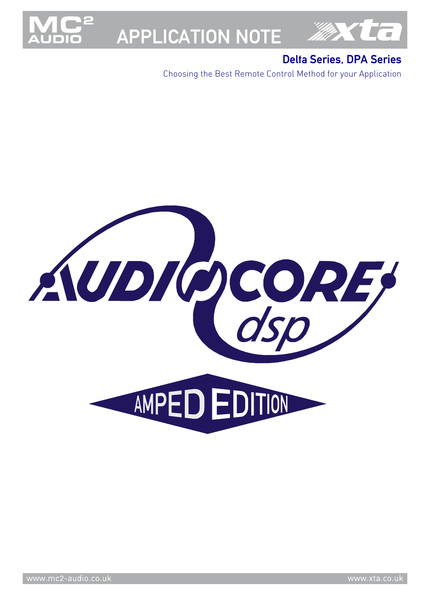

# APPLICATION NOTE



# Delta Series, DPA Series

Choosing the Best Remote Control Method for your Application

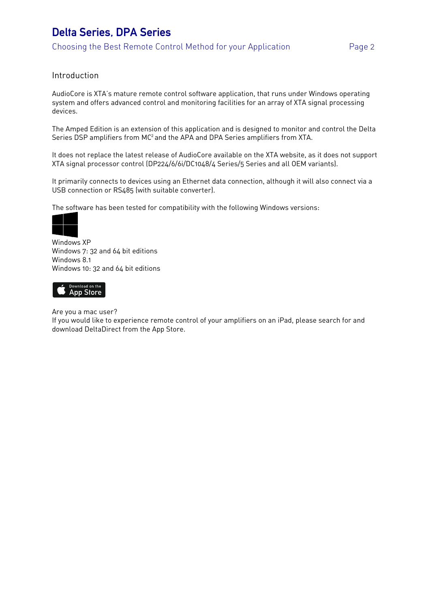## Introduction

AudioCore is XTA's mature remote control software application, that runs under Windows operating system and offers advanced control and monitoring facilities for an array of XTA signal processing devices.

The Amped Edition is an extension of this application and is designed to monitor and control the Delta Series DSP amplifiers from MC<sup>2</sup> and the APA and DPA Series amplifiers from XTA.

It does not replace the latest release of AudioCore available on the XTA website, as it does not support XTA signal processor control (DP224/6/6i/DC1048/4 Series/5 Series and all OEM variants).

It primarily connects to devices using an Ethernet data connection, although it will also connect via a USB connection or RS485 (with suitable converter).

The software has been tested for compatibility with the following Windows versions:



Windows XP Windows 7: 32 and 64 bit editions Windows 8.1 Windows 10: 32 and 64 bit editions



Are you a mac user?

If you would like to experience remote control of your amplifiers on an iPad, please search for and download DeltaDirect from the App Store.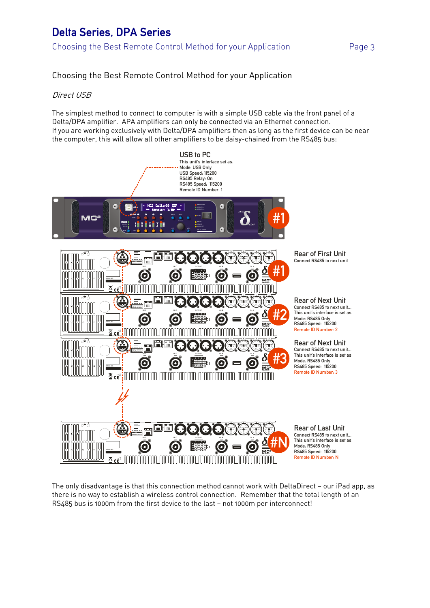Choosing the Best Remote Control Method for your Application

## Direct USB

The simplest method to connect to computer is with a simple USB cable via the front panel of a Delta/DPA amplifier. APA amplifiers can only be connected via an Ethernet connection. If you are working exclusively with Delta/DPA amplifiers then as long as the first device can be near the computer, this will allow all other amplifiers to be daisy-chained from the RS485 bus:



The only disadvantage is that this connection method cannot work with DeltaDirect — our iPad app, as there is no way to establish a wireless control connection. Remember that the total length of an RS485 bus is 1000m from the first device to the last — not 1000m per interconnect!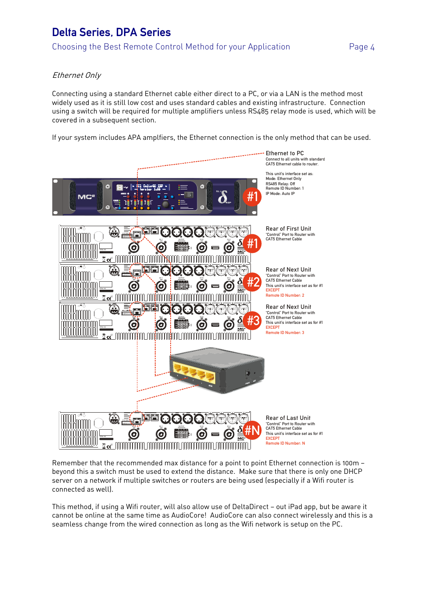# Ethernet Only

Connecting using a standard Ethernet cable either direct to a PC, or via a LAN is the method most widely used as it is still low cost and uses standard cables and existing infrastructure. Connection using a switch will be required for multiple amplifiers unless RS485 relay mode is used, which will be covered in a subsequent section.

If your system includes APA amplfiers, the Ethernet connection is the only method that can be used.



Remember that the recommended max distance for a point to point Ethernet connection is 100m beyond this a switch must be used to extend the distance. Make sure that there is only one DHCP server on a network if multiple switches or routers are being used (especially if a Wifi router is connected as well).

This method, if using a Wifi router, will also allow use of DeltaDirect — out iPad app, but be aware it cannot be online at the same time as AudioCore! AudioCore can also connect wirelessly and this is a seamless change from the wired connection as long as the Wifi network is setup on the PC.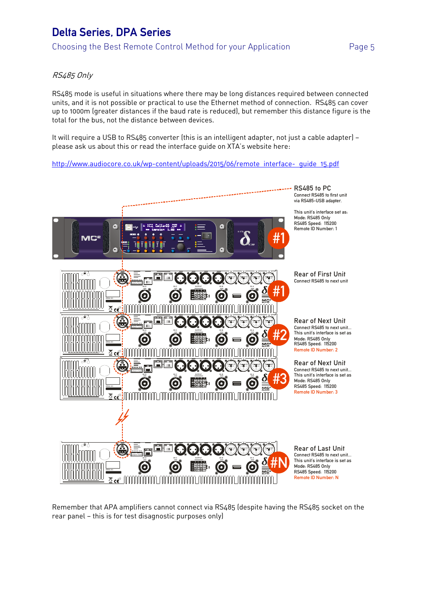## RS485 Only

RS485 mode is useful in situations where there may be long distances required between connected units, and it is not possible or practical to use the Ethernet method of connection. RS485 can cover up to 1000m (greater distances if the baud rate is reduced), but remember this distance figure is the total for the bus, not the distance between devices.

It will require a USB to RS485 converter (this is an intelligent adapter, not just a cable adapter) please ask us about this or read the interface guide on XTA's website here:

http://www.audiocore.co.uk/wp-content/uploads/2015/06/remote\_interface-\_guide\_15.pdf



Remember that APA amplifiers cannot connect via RS485 (despite having the RS485 socket on the rear panel — this is for test disagnostic purposes only)